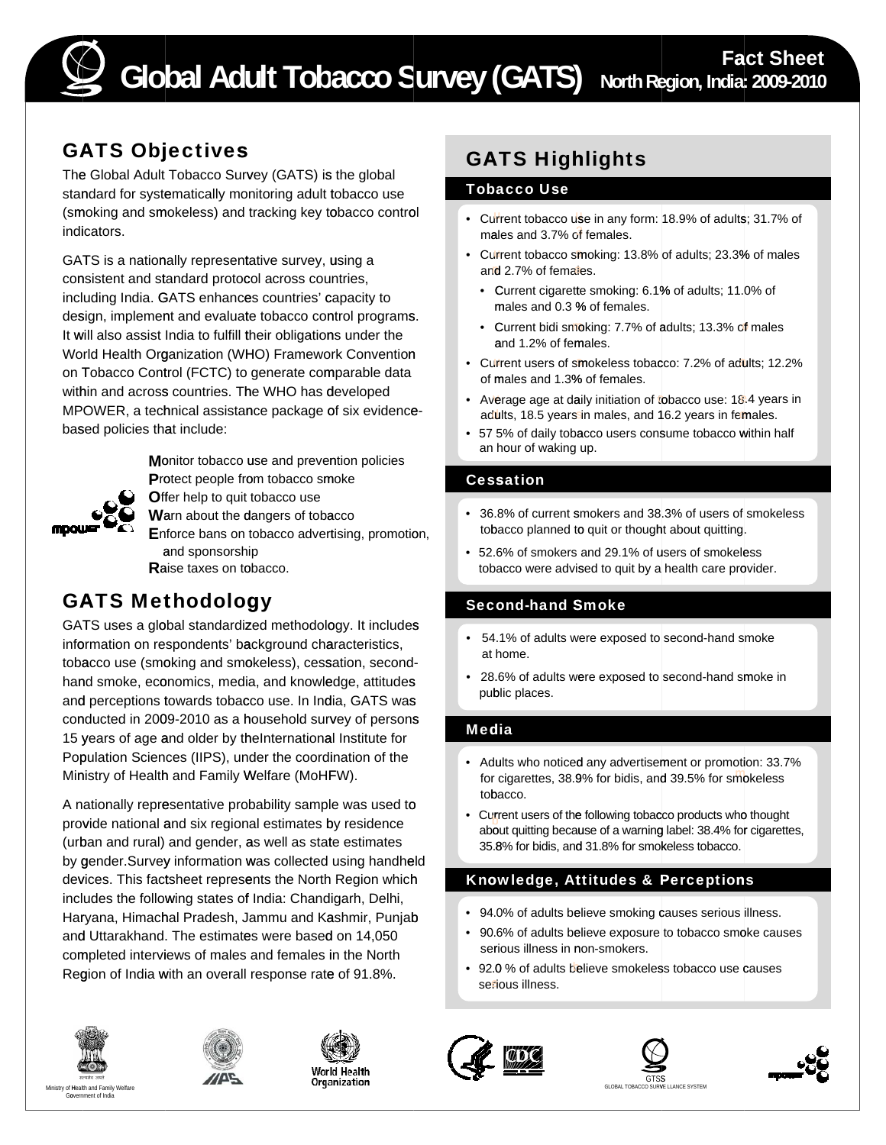

# GATS Objectives

The Global Adult Tobacco Survey (GATS) is the global standard for systematically monitoring adult tobacco use (smoking and smokeless) and tracking key tobacco control indicators.

GATS is a nationally representative survey, using a consistent and standard protocol across countries, including India. GATS enhances countries' capacity to design, implement and evaluate tobacco control programs. It will also assist India to fulfill their obligations under the World Health Organization (WHO) Framework Convention on Tobacco Control (FCTC) to generate comparable data within and across countries. The WHO has developed MPOWER, a technical assistance package of six evidencebased policies that include:



**M**onitor tobacco use and prevention policies Protect people from tobacco smoke **O**ffer help to quit tobacco use

**W**arn about the dangers of tobacco

**E**nforce bans on tobacco advertising, promotion, and sponsorship **R**aise taxes on tobacco.

# GATS Methodology

GATS uses a global standardized methodology. It includes information on respondents' background characteristics, tobacco use (smoking and smokeless), cessation, secondhand smoke, economics, media, and knowledge, attitudes and perceptions towards tobacco use. In India, GATS was conducted in 2009-2010 as a household survey of persons 15 years of age and older by theInternational Institute for Population Sciences (IIPS), under the coordination of the Ministry of Health and Family Welfare (MoHFW).

A nationally representative probability sample was used to provide national and six regional estimates by residence (urban and rural) and gender, as well as state estimates by gender.Survey information was collected using handheld devices. This factsheet represents the North Region which includes the following states of India: Chandigarh, Delhi, Haryana, Himachal Pradesh, Jammu and Kashmir, Punjab and Uttarakhand. The estimates were based on 14,050 completed interviews of males and females in the North Region of India with an overall response rate of 91.8%.







GATS Highlights

## Tobacco Use

- Current tobacco use in any form: 18.9% of adults; 31.7% of males and 3.7% of females.
- Current tobacco smoking: 13.8% of adults; 23.3% of males and 2.7% of females.
	- Current cigarette smoking: 6.1 % of adults; 11. 0% of males and 0.3 % of females.
	- Current bidi smoking: 7.7% of adults; 13.3% of males and 1.2% of females.
- Current users of smokeless tobacco: 7.2% of adults; 12.2% of males and 1.3% of females.
- Average age at daily initiation of tobacco use:  $18.4$  years in adults, 18.5 years in males, and 16.2 years in females.
- 57 5% of daily tobacco users consume tobacco within half an hour of waking up.

# Cessation

- 36.8% of current smokers and 38.3% of users of smokeless tobacco planned to quit or thought about quitting.
- 52.6% of smokers and 29.1% of users of smokeless tobacco were advised to quit by a health care provider.

# Second-hand Smoke

- 54.1% of adults were exposed to second-hand smoke at home.
- 28.6% of adults were exposed to second-hand smoke in public places.

# Media

- Adults who noticed any advertisement or promotion: 33.7%<br>for cigarettes, 38.9% for bidis, and 39.5% for smokeless
- tobacco.<br>• Current users of the following tobacco products who thought<br>about quitting because of a warning label: 38.4% for cigarettes,<br>35.8% for bidis, and 31.8% for smokeless tobacco.

# Knowledge, Attitudes & Perceptions

- 94.0% of adults believe smoking causes serious illness.
- 90.6% of adults believe exposure to tobacco smoke causes serious illness in non-smokers.
- 92.0 % of adults believe smokeless tobacco use causes serious illness.







**GTSS** Ministry of Health and Family Welfare **the contract of the CLOBAL TOBACCO SURVE LLANCE SYSTEM CLOBAL TOBACCO SURVE LLANCE SYSTEM**